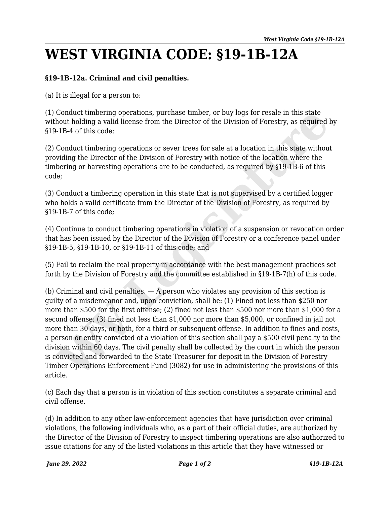## **WEST VIRGINIA CODE: §19-1B-12A**

## **§19-1B-12a. Criminal and civil penalties.**

(a) It is illegal for a person to:

(1) Conduct timbering operations, purchase timber, or buy logs for resale in this state without holding a valid license from the Director of the Division of Forestry, as required by §19-1B-4 of this code;

(2) Conduct timbering operations or sever trees for sale at a location in this state without providing the Director of the Division of Forestry with notice of the location where the timbering or harvesting operations are to be conducted, as required by §19-1B-6 of this code;

(3) Conduct a timbering operation in this state that is not supervised by a certified logger who holds a valid certificate from the Director of the Division of Forestry, as required by §19-1B-7 of this code;

(4) Continue to conduct timbering operations in violation of a suspension or revocation order that has been issued by the Director of the Division of Forestry or a conference panel under §19-1B-5, §19-1B-10, or §19-1B-11 of this code; and

(5) Fail to reclaim the real property in accordance with the best management practices set forth by the Division of Forestry and the committee established in §19-1B-7(h) of this code.

(b) Criminal and civil penalties.  $-$  A person who violates any provision of this section is guilty of a misdemeanor and, upon conviction, shall be: (1) Fined not less than \$250 nor more than \$500 for the first offense; (2) fined not less than \$500 nor more than \$1,000 for a second offense; (3) fined not less than \$1,000 nor more than \$5,000, or confined in jail not more than 30 days, or both, for a third or subsequent offense. In addition to fines and costs, a person or entity convicted of a violation of this section shall pay a \$500 civil penalty to the division within 60 days. The civil penalty shall be collected by the court in which the person is convicted and forwarded to the State Treasurer for deposit in the Division of Forestry Timber Operations Enforcement Fund (3082) for use in administering the provisions of this article. Conduct timbering operations, purchase timber, or buy logs for resale in this state<br>conduct the bing a valid license from the Director of the Division of Forestry, as required<br>-1B-4 of this code;<br>Conduct timbering operatio

(c) Each day that a person is in violation of this section constitutes a separate criminal and civil offense.

(d) In addition to any other law-enforcement agencies that have jurisdiction over criminal violations, the following individuals who, as a part of their official duties, are authorized by the Director of the Division of Forestry to inspect timbering operations are also authorized to issue citations for any of the listed violations in this article that they have witnessed or